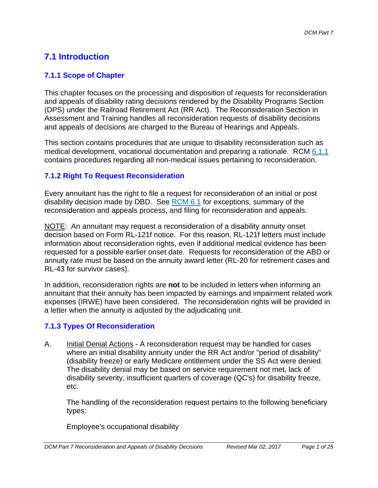# **7.1 Introduction**

## **7.1.1 Scope of Chapter**

This chapter focuses on the processing and disposition of requests for reconsideration and appeals of disability rating decisions rendered by the Disability Programs Section (DPS) under the Railroad Retirement Act (RR Act). The Reconsideration Section in Assessment and Training handles all reconsideration requests of disability decisions and appeals of decisions are charged to the Bureau of Hearings and Appeals.

This section contains procedures that are unique to disability reconsideration such as medical development, vocational documentation and preparing a rationale. RCM 6.1.1 contains procedures regarding all non-medical issues pertaining to reconsideration.

## **7.1.2 Right To Request Reconsideration**

Every annuitant has the right to file a request for reconsideration of an initial or post disability decision made by DBD. See RCM 6.1 for exceptions, summary of the reconsideration and appeals process, and filing for reconsideration and appeals.

NOTE: An annuitant may request a reconsideration of a disability annuity onset decision based on Form RL-121f notice. For this reason, RL-121f letters must include information about reconsideration rights, even if additional medical evidence has been requested for a possible earlier onset date. Requests for reconsideration of the ABD or annuity rate must be based on the annuity award letter (RL-20 for retirement cases and RL-43 for survivor cases).

In addition, reconsideration rights are **not** to be included in letters when informing an annuitant that their annuity has been impacted by earnings and impairment related work expenses (IRWE) have been considered. The reconsideration rights will be provided in a letter when the annuity is adjusted by the adjudicating unit.

## **7.1.3 Types Of Reconsideration**

(disability freeze) or early Medicare entitlement under the SS Act were denied.<br>The disability denial may be based on service requirement not met, lack of A. Initial Denial Actions - A reconsideration request may be handled for cases where an initial disability annuity under the RR Act and/or "period of disability" disability severity, insufficient quarters of coverage (QC's) for disability freeze, etc.

The handling of the reconsideration request pertains to the following beneficiary types:

Employee's occupational disability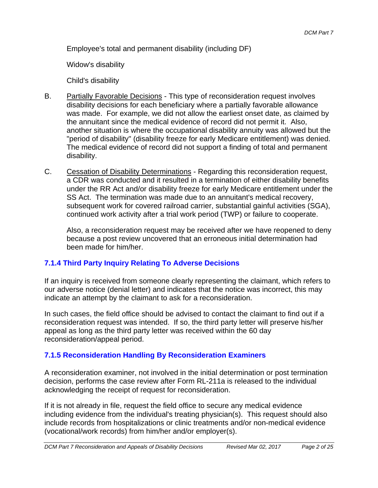Employee's total and permanent disability (including DF)

Widow's disability

Child's disability

- B. Partially Favorable Decisions This type of reconsideration request involves disability decisions for each beneficiary where a partially favorable allowance was made. For example, we did not allow the earliest onset date, as claimed by the annuitant since the medical evidence of record did not permit it. Also, another situation is where the occupational disability annuity was allowed but the "period of disability" (disability freeze for early Medicare entitlement) was denied. The medical evidence of record did not support a finding of total and permanent disability.
- C. Cessation of Disability Determinations Regarding this reconsideration request, a CDR was conducted and it resulted in a termination of either disability benefits under the RR Act and/or disability freeze for early Medicare entitlement under the SS Act. The termination was made due to an annuitant's medical recovery, subsequent work for covered railroad carrier, substantial gainful activities (SGA), continued work activity after a trial work period (TWP) or failure to cooperate.

Also, a reconsideration request may be received after we have reopened to deny because a post review uncovered that an erroneous initial determination had been made for him/her.

# **7.1.4 Third Party Inquiry Relating To Adverse Decisions**

If an inquiry is received from someone clearly representing the claimant, which refers to our adverse notice (denial letter) and indicates that the notice was incorrect, this may indicate an attempt by the claimant to ask for a reconsideration.

In such cases, the field office should be advised to contact the claimant to find out if a reconsideration request was intended. If so, the third party letter will preserve his/her appeal as long as the third party letter was received within the 60 day reconsideration/appeal period.

## **7.1.5 Reconsideration Handling By Reconsideration Examiners**

A reconsideration examiner, not involved in the initial determination or post termination decision, performs the case review after Form RL-211a is released to the individual acknowledging the receipt of request for reconsideration.

If it is not already in file, request the field office to secure any medical evidence including evidence from the individual's treating physician(s). This request should also include records from hospitalizations or clinic treatments and/or non-medical evidence (vocational/work records) from him/her and/or employer(s).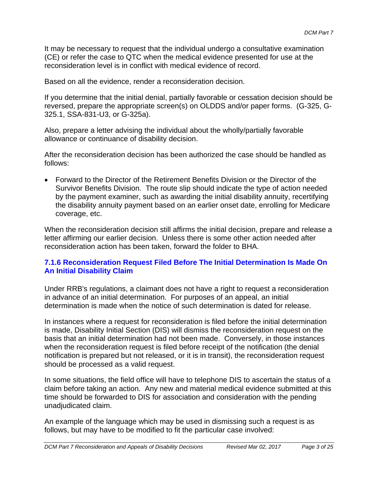It may be necessary to request that the individual undergo a consultative examination (CE) or refer the case to QTC when the medical evidence presented for use at the reconsideration level is in conflict with medical evidence of record.

Based on all the evidence, render a reconsideration decision.

If you determine that the initial denial, partially favorable or cessation decision should be reversed, prepare the appropriate screen(s) on OLDDS and/or paper forms. (G-325, G-325.1, SSA-831-U3, or G-325a).

Also, prepare a letter advising the individual about the wholly/partially favorable allowance or continuance of disability decision.

After the reconsideration decision has been authorized the case should be handled as follows:

 Forward to the Director of the Retirement Benefits Division or the Director of the Survivor Benefits Division. The route slip should indicate the type of action needed by the payment examiner, such as awarding the initial disability annuity, recertifying the disability annuity payment based on an earlier onset date, enrolling for Medicare coverage, etc.

When the reconsideration decision still affirms the initial decision, prepare and release a letter affirming our earlier decision. Unless there is some other action needed after reconsideration action has been taken, forward the folder to BHA.

## **7.1.6 Reconsideration Request Filed Before The Initial Determination Is Made On An Initial Disability Claim**

Under RRB's regulations, a claimant does not have a right to request a reconsideration in advance of an initial determination. For purposes of an appeal, an initial determination is made when the notice of such determination is dated for release.

In instances where a request for reconsideration is filed before the initial determination is made, Disability Initial Section (DIS) will dismiss the reconsideration request on the basis that an initial determination had not been made. Conversely, in those instances when the reconsideration request is filed before receipt of the notification (the denial notification is prepared but not released, or it is in transit), the reconsideration request should be processed as a valid request.

In some situations, the field office will have to telephone DIS to ascertain the status of a claim before taking an action. Any new and material medical evidence submitted at this time should be forwarded to DIS for association and consideration with the pending unadjudicated claim.

An example of the language which may be used in dismissing such a request is as follows, but may have to be modified to fit the particular case involved: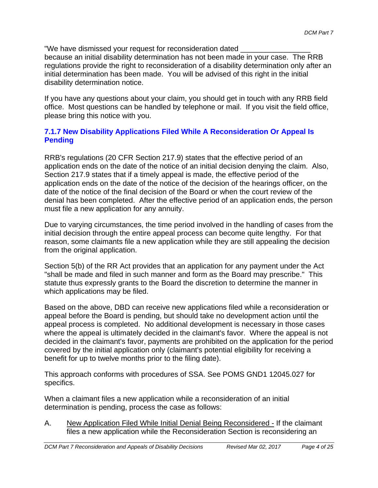"We have dismissed your request for reconsideration dated

because an initial disability determination has not been made in your case. The RRB regulations provide the right to reconsideration of a disability determination only after an initial determination has been made. You will be advised of this right in the initial disability determination notice.

If you have any questions about your claim, you should get in touch with any RRB field office. Most questions can be handled by telephone or mail. If you visit the field office, please bring this notice with you.

## **7.1.7 New Disability Applications Filed While A Reconsideration Or Appeal Is Pending**

RRB's regulations (20 CFR Section 217.9) states that the effective period of an application ends on the date of the notice of an initial decision denying the claim. Also, Section 217.9 states that if a timely appeal is made, the effective period of the application ends on the date of the notice of the decision of the hearings officer, on the date of the notice of the final decision of the Board or when the court review of the denial has been completed. After the effective period of an application ends, the person must file a new application for any annuity.

Due to varying circumstances, the time period involved in the handling of cases from the initial decision through the entire appeal process can become quite lengthy. For that reason, some claimants file a new application while they are still appealing the decision from the original application.

Section 5(b) of the RR Act provides that an application for any payment under the Act "shall be made and filed in such manner and form as the Board may prescribe." This statute thus expressly grants to the Board the discretion to determine the manner in which applications may be filed.

Based on the above, DBD can receive new applications filed while a reconsideration or appeal before the Board is pending, but should take no development action until the appeal process is completed. No additional development is necessary in those cases where the appeal is ultimately decided in the claimant's favor. Where the appeal is not decided in the claimant's favor, payments are prohibited on the application for the period covered by the initial application only (claimant's potential eligibility for receiving a benefit for up to twelve months prior to the filing date).

This approach conforms with procedures of SSA. See POMS GND1 12045.027 for specifics.

When a claimant files a new application while a reconsideration of an initial determination is pending, process the case as follows:

A. New Application Filed While Initial Denial Being Reconsidered - If the claimant files a new application while the Reconsideration Section is reconsidering an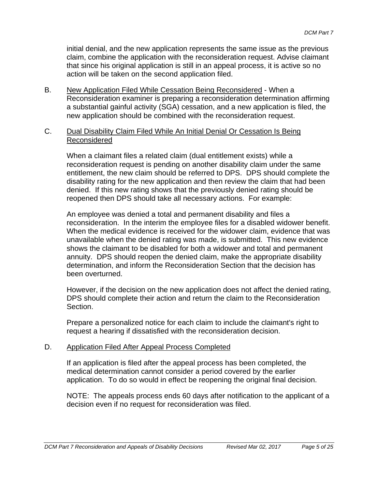initial denial, and the new application represents the same issue as the previous claim, combine the application with the reconsideration request. Advise claimant that since his original application is still in an appeal process, it is active so no action will be taken on the second application filed.

- B. New Application Filed While Cessation Being Reconsidered When a Reconsideration examiner is preparing a reconsideration determination affirming a substantial gainful activity (SGA) cessation, and a new application is filed, the new application should be combined with the reconsideration request.
- C. Dual Disability Claim Filed While An Initial Denial Or Cessation Is Being Reconsidered

When a claimant files a related claim (dual entitlement exists) while a reconsideration request is pending on another disability claim under the same entitlement, the new claim should be referred to DPS. DPS should complete the disability rating for the new application and then review the claim that had been denied. If this new rating shows that the previously denied rating should be reopened then DPS should take all necessary actions. For example:

An employee was denied a total and permanent disability and files a reconsideration. In the interim the employee files for a disabled widower benefit. When the medical evidence is received for the widower claim, evidence that was unavailable when the denied rating was made, is submitted. This new evidence shows the claimant to be disabled for both a widower and total and permanent annuity. DPS should reopen the denied claim, make the appropriate disability determination, and inform the Reconsideration Section that the decision has been overturned.

However, if the decision on the new application does not affect the denied rating, DPS should complete their action and return the claim to the Reconsideration Section.

Prepare a personalized notice for each claim to include the claimant's right to request a hearing if dissatisfied with the reconsideration decision.

#### D. Application Filed After Appeal Process Completed

If an application is filed after the appeal process has been completed, the medical determination cannot consider a period covered by the earlier application. To do so would in effect be reopening the original final decision.

NOTE: The appeals process ends 60 days after notification to the applicant of a decision even if no request for reconsideration was filed.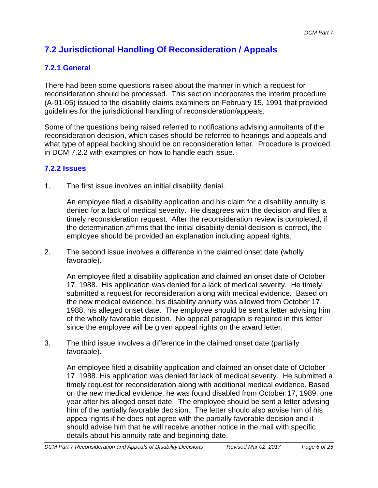# **7.2 Jurisdictional Handling Of Reconsideration / Appeals**

# **7.2.1 General**

There had been some questions raised about the manner in which a request for reconsideration should be processed. This section incorporates the interim procedure (A-91-05) issued to the disability claims examiners on February 15, 1991 that provided guidelines for the jurisdictional handling of reconsideration/appeals.

Some of the questions being raised referred to notifications advising annuitants of the reconsideration decision, which cases should be referred to hearings and appeals and what type of appeal backing should be on reconsideration letter. Procedure is provided in DCM 7.2.2 with examples on how to handle each issue.

## **7.2.2 Issues**

1. The first issue involves an initial disability denial.

An employee filed a disability application and his claim for a disability annuity is denied for a lack of medical severity. He disagrees with the decision and files a timely reconsideration request. After the reconsideration review is completed, if the determination affirms that the initial disability denial decision is correct, the employee should be provided an explanation including appeal rights.

2. The second issue involves a difference in the claimed onset date (wholly favorable).

An employee filed a disability application and claimed an onset date of October 17, 1988. His application was denied for a lack of medical severity. He timely submitted a request for reconsideration along with medical evidence. Based on the new medical evidence, his disability annuity was allowed from October 17, 1988, his alleged onset date. The employee should be sent a letter advising him of the wholly favorable decision. No appeal paragraph is required in this letter since the employee will be given appeal rights on the award letter.

3. The third issue involves a difference in the claimed onset date (partially favorable).

An employee filed a disability application and claimed an onset date of October 17, 1988. His application was denied for lack of medical severity. He submitted a timely request for reconsideration along with additional medical evidence. Based on the new medical evidence, he was found disabled from October 17, 1989, one year after his alleged onset date. The employee should be sent a letter advising him of the partially favorable decision. The letter should also advise him of his appeal rights if he does not agree with the partially favorable decision and it should advise him that he will receive another notice in the mail with specific details about his annuity rate and beginning date.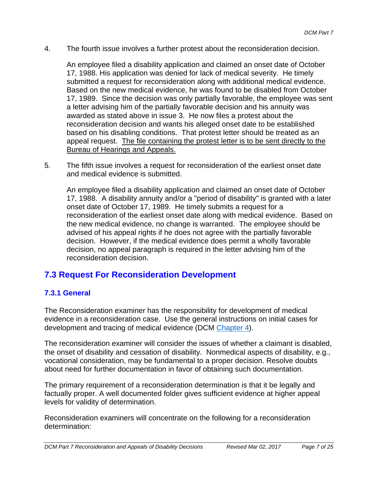4. The fourth issue involves a further protest about the reconsideration decision.

An employee filed a disability application and claimed an onset date of October 17, 1988. His application was denied for lack of medical severity. He timely submitted a request for reconsideration along with additional medical evidence. Based on the new medical evidence, he was found to be disabled from October 17, 1989. Since the decision was only partially favorable, the employee was sent a letter advising him of the partially favorable decision and his annuity was awarded as stated above in issue 3. He now files a protest about the reconsideration decision and wants his alleged onset date to be established based on his disabling conditions. That protest letter should be treated as an appeal request. The file containing the protest letter is to be sent directly to the Bureau of Hearings and Appeals.

5. The fifth issue involves a request for reconsideration of the earliest onset date and medical evidence is submitted.

An employee filed a disability application and claimed an onset date of October 17, 1988. A disability annuity and/or a "period of disability" is granted with a later onset date of October 17, 1989. He timely submits a request for a reconsideration of the earliest onset date along with medical evidence. Based on the new medical evidence, no change is warranted. The employee should be advised of his appeal rights if he does not agree with the partially favorable decision. However, if the medical evidence does permit a wholly favorable decision, no appeal paragraph is required in the letter advising him of the reconsideration decision.

# **7.3 Request For Reconsideration Development**

## **7.3.1 General**

The Reconsideration examiner has the responsibility for development of medical evidence in a reconsideration case. Use the general instructions on initial cases for development and tracing of medical evidence (DCM Chapter 4).

The reconsideration examiner will consider the issues of whether a claimant is disabled, the onset of disability and cessation of disability. Nonmedical aspects of disability, e.g., vocational consideration, may be fundamental to a proper decision. Resolve doubts about need for further documentation in favor of obtaining such documentation.

The primary requirement of a reconsideration determination is that it be legally and factually proper. A well documented folder gives sufficient evidence at higher appeal levels for validity of determination.

Reconsideration examiners will concentrate on the following for a reconsideration determination: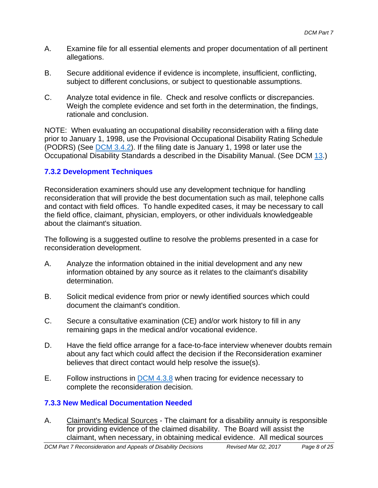- A. Examine file for all essential elements and proper documentation of all pertinent allegations.
- B. Secure additional evidence if evidence is incomplete, insufficient, conflicting, subject to different conclusions, or subject to questionable assumptions.
- C. Analyze total evidence in file. Check and resolve conflicts or discrepancies. Weigh the complete evidence and set forth in the determination, the findings, rationale and conclusion.

NOTE: When evaluating an occupational disability reconsideration with a filing date prior to January 1, 1998, use the Provisional Occupational Disability Rating Schedule (PODRS) (See DCM 3.4.2). If the filing date is January 1, 1998 or later use the Occupational Disability Standards a described in the Disability Manual. (See DCM 13.)

## **7.3.2 Development Techniques**

Reconsideration examiners should use any development technique for handling reconsideration that will provide the best documentation such as mail, telephone calls and contact with field offices. To handle expedited cases, it may be necessary to call the field office, claimant, physician, employers, or other individuals knowledgeable about the claimant's situation.

The following is a suggested outline to resolve the problems presented in a case for reconsideration development.

- A. Analyze the information obtained in the initial development and any new information obtained by any source as it relates to the claimant's disability determination.
- B. Solicit medical evidence from prior or newly identified sources which could document the claimant's condition.
- C. Secure a consultative examination (CE) and/or work history to fill in any remaining gaps in the medical and/or vocational evidence.
- D. Have the field office arrange for a face-to-face interview whenever doubts remain about any fact which could affect the decision if the Reconsideration examiner believes that direct contact would help resolve the issue(s).
- E. Follow instructions in DCM 4.3.8 when tracing for evidence necessary to complete the reconsideration decision.

# **7.3.3 New Medical Documentation Needed**

A. Claimant's Medical Sources - The claimant for a disability annuity is responsible for providing evidence of the claimed disability. The Board will assist the claimant, when necessary, in obtaining medical evidence. All medical sources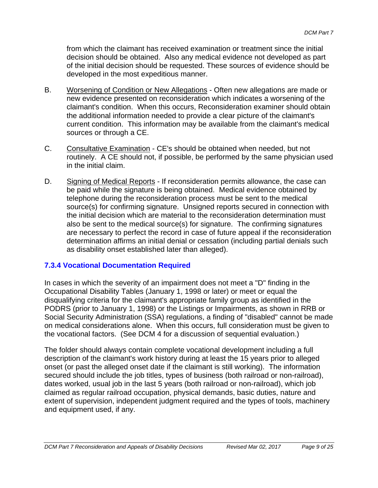from which the claimant has received examination or treatment since the initial decision should be obtained. Also any medical evidence not developed as part of the initial decision should be requested. These sources of evidence should be developed in the most expeditious manner.

- B. Worsening of Condition or New Allegations Often new allegations are made or new evidence presented on reconsideration which indicates a worsening of the claimant's condition. When this occurs, Reconsideration examiner should obtain the additional information needed to provide a clear picture of the claimant's current condition. This information may be available from the claimant's medical sources or through a CE.
- C. Consultative Examination CE's should be obtained when needed, but not routinely. A CE should not, if possible, be performed by the same physician used in the initial claim.
- D. Signing of Medical Reports If reconsideration permits allowance, the case can be paid while the signature is being obtained. Medical evidence obtained by telephone during the reconsideration process must be sent to the medical source(s) for confirming signature. Unsigned reports secured in connection with the initial decision which are material to the reconsideration determination must also be sent to the medical source(s) for signature. The confirming signatures are necessary to perfect the record in case of future appeal if the reconsideration determination affirms an initial denial or cessation (including partial denials such as disability onset established later than alleged).

## **7.3.4 Vocational Documentation Required**

In cases in which the severity of an impairment does not meet a "D" finding in the Occupational Disability Tables (January 1, 1998 or later) or meet or equal the disqualifying criteria for the claimant's appropriate family group as identified in the PODRS (prior to January 1, 1998) or the Listings or Impairments, as shown in RRB or Social Security Administration (SSA) regulations, a finding of "disabled" cannot be made on medical considerations alone. When this occurs, full consideration must be given to the vocational factors. (See DCM 4 for a discussion of sequential evaluation.)

The folder should always contain complete vocational development including a full description of the claimant's work history during at least the 15 years prior to alleged onset (or past the alleged onset date if the claimant is still working). The information secured should include the job titles, types of business (both railroad or non-railroad), dates worked, usual job in the last 5 years (both railroad or non-railroad), which job claimed as regular railroad occupation, physical demands, basic duties, nature and extent of supervision, independent judgment required and the types of tools, machinery and equipment used, if any.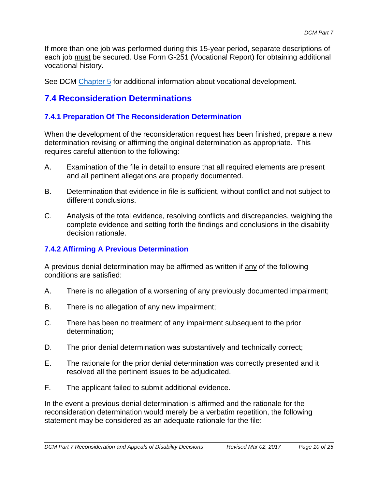If more than one job was performed during this 15-year period, separate descriptions of each job must be secured. Use Form G-251 (Vocational Report) for obtaining additional vocational history.

See DCM Chapter 5 for additional information about vocational development.

# **7.4 Reconsideration Determinations**

## **7.4.1 Preparation Of The Reconsideration Determination**

When the development of the reconsideration request has been finished, prepare a new determination revising or affirming the original determination as appropriate. This requires careful attention to the following:

- A. Examination of the file in detail to ensure that all required elements are present and all pertinent allegations are properly documented.
- B. Determination that evidence in file is sufficient, without conflict and not subject to different conclusions.
- C. Analysis of the total evidence, resolving conflicts and discrepancies, weighing the complete evidence and setting forth the findings and conclusions in the disability decision rationale.

# **7.4.2 Affirming A Previous Determination**

A previous denial determination may be affirmed as written if any of the following conditions are satisfied:

- A. There is no allegation of a worsening of any previously documented impairment;
- B. There is no allegation of any new impairment;
- C. There has been no treatment of any impairment subsequent to the prior determination;
- D. The prior denial determination was substantively and technically correct;
- E. The rationale for the prior denial determination was correctly presented and it resolved all the pertinent issues to be adjudicated.
- F. The applicant failed to submit additional evidence.

In the event a previous denial determination is affirmed and the rationale for the reconsideration determination would merely be a verbatim repetition, the following statement may be considered as an adequate rationale for the file: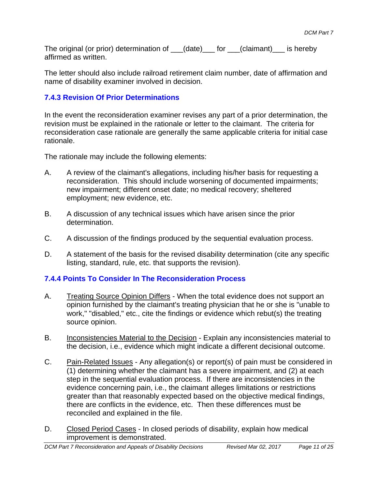The original (or prior) determination of  $\rule{1em}{0.15mm}$  (or  $\rule{1.15mm}{}$  / claimant)  $\rule{1.15mm}{}$  is hereby affirmed as written.

The letter should also include railroad retirement claim number, date of affirmation and name of disability examiner involved in decision.

# **7.4.3 Revision Of Prior Determinations**

In the event the reconsideration examiner revises any part of a prior determination, the revision must be explained in the rationale or letter to the claimant. The criteria for reconsideration case rationale are generally the same applicable criteria for initial case rationale.

The rationale may include the following elements:

- A. A review of the claimant's allegations, including his/her basis for requesting a reconsideration. This should include worsening of documented impairments; new impairment; different onset date; no medical recovery; sheltered employment; new evidence, etc.
- B. A discussion of any technical issues which have arisen since the prior determination.
- C. A discussion of the findings produced by the sequential evaluation process.
- D. A statement of the basis for the revised disability determination (cite any specific listing, standard, rule, etc. that supports the revision).

# **7.4.4 Points To Consider In The Reconsideration Process**

- A. Treating Source Opinion Differs When the total evidence does not support an opinion furnished by the claimant's treating physician that he or she is "unable to work," "disabled," etc., cite the findings or evidence which rebut(s) the treating source opinion.
- B. Inconsistencies Material to the Decision Explain any inconsistencies material to the decision, i.e., evidence which might indicate a different decisional outcome.
- C. Pain-Related Issues Any allegation(s) or report(s) of pain must be considered in (1) determining whether the claimant has a severe impairment, and (2) at each step in the sequential evaluation process. If there are inconsistencies in the evidence concerning pain, i.e., the claimant alleges limitations or restrictions greater than that reasonably expected based on the objective medical findings, there are conflicts in the evidence, etc. Then these differences must be reconciled and explained in the file.
- D. Closed Period Cases In closed periods of disability, explain how medical improvement is demonstrated.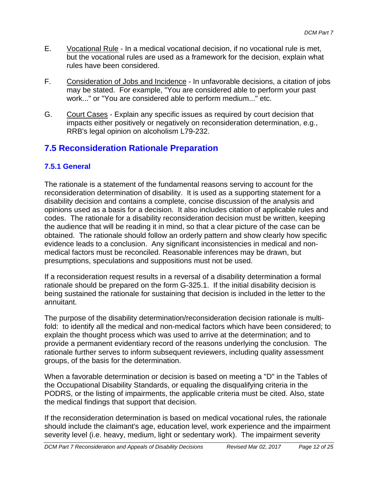- E. Vocational Rule In a medical vocational decision, if no vocational rule is met, but the vocational rules are used as a framework for the decision, explain what rules have been considered.
- F. Consideration of Jobs and Incidence In unfavorable decisions, a citation of jobs may be stated. For example, "You are considered able to perform your past work..." or "You are considered able to perform medium..." etc.
- G. Court Cases Explain any specific issues as required by court decision that impacts either positively or negatively on reconsideration determination, e.g., RRB's legal opinion on alcoholism L79-232.

# **7.5 Reconsideration Rationale Preparation**

# **7.5.1 General**

The rationale is a statement of the fundamental reasons serving to account for the reconsideration determination of disability. It is used as a supporting statement for a disability decision and contains a complete, concise discussion of the analysis and opinions used as a basis for a decision. It also includes citation of applicable rules and codes. The rationale for a disability reconsideration decision must be written, keeping the audience that will be reading it in mind, so that a clear picture of the case can be obtained. The rationale should follow an orderly pattern and show clearly how specific evidence leads to a conclusion. Any significant inconsistencies in medical and nonmedical factors must be reconciled. Reasonable inferences may be drawn, but presumptions, speculations and suppositions must not be used.

If a reconsideration request results in a reversal of a disability determination a formal rationale should be prepared on the form G-325.1. If the initial disability decision is being sustained the rationale for sustaining that decision is included in the letter to the annuitant.

The purpose of the disability determination/reconsideration decision rationale is multifold: to identify all the medical and non-medical factors which have been considered; to explain the thought process which was used to arrive at the determination; and to provide a permanent evidentiary record of the reasons underlying the conclusion. The rationale further serves to inform subsequent reviewers, including quality assessment groups, of the basis for the determination.

When a favorable determination or decision is based on meeting a "D" in the Tables of the Occupational Disability Standards, or equaling the disqualifying criteria in the PODRS, or the listing of impairments, the applicable criteria must be cited. Also, state the medical findings that support that decision.

If the reconsideration determination is based on medical vocational rules, the rationale should include the claimant's age, education level, work experience and the impairment severity level (i.e. heavy, medium, light or sedentary work). The impairment severity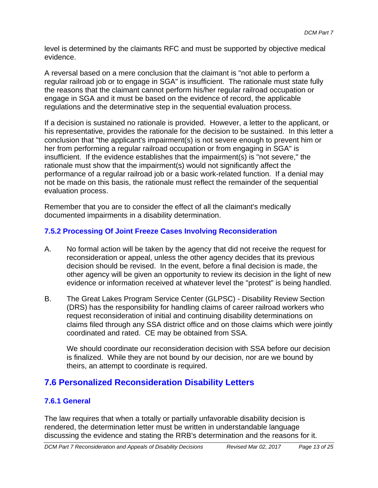level is determined by the claimants RFC and must be supported by objective medical evidence.

A reversal based on a mere conclusion that the claimant is "not able to perform a regular railroad job or to engage in SGA" is insufficient. The rationale must state fully the reasons that the claimant cannot perform his/her regular railroad occupation or engage in SGA and it must be based on the evidence of record, the applicable regulations and the determinative step in the sequential evaluation process.

If a decision is sustained no rationale is provided. However, a letter to the applicant, or his representative, provides the rationale for the decision to be sustained. In this letter a conclusion that "the applicant's impairment(s) is not severe enough to prevent him or her from performing a regular railroad occupation or from engaging in SGA" is insufficient. If the evidence establishes that the impairment(s) is "not severe," the rationale must show that the impairment(s) would not significantly affect the performance of a regular railroad job or a basic work-related function. If a denial may not be made on this basis, the rationale must reflect the remainder of the sequential evaluation process.

Remember that you are to consider the effect of all the claimant's medically documented impairments in a disability determination.

## **7.5.2 Processing Of Joint Freeze Cases Involving Reconsideration**

- A. No formal action will be taken by the agency that did not receive the request for reconsideration or appeal, unless the other agency decides that its previous decision should be revised. In the event, before a final decision is made, the other agency will be given an opportunity to review its decision in the light of new evidence or information received at whatever level the "protest" is being handled.
- B. The Great Lakes Program Service Center (GLPSC) Disability Review Section (DRS) has the responsibility for handling claims of career railroad workers who request reconsideration of initial and continuing disability determinations on claims filed through any SSA district office and on those claims which were jointly coordinated and rated. CE may be obtained from SSA.

We should coordinate our reconsideration decision with SSA before our decision is finalized. While they are not bound by our decision, nor are we bound by theirs, an attempt to coordinate is required.

# **7.6 Personalized Reconsideration Disability Letters**

# **7.6.1 General**

The law requires that when a totally or partially unfavorable disability decision is rendered, the determination letter must be written in understandable language discussing the evidence and stating the RRB's determination and the reasons for it.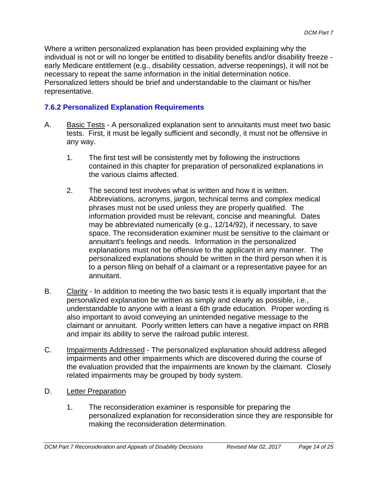Where a written personalized explanation has been provided explaining why the individual is not or will no longer be entitled to disability benefits and/or disability freeze early Medicare entitlement (e.g., disability cessation, adverse reopenings), it will not be necessary to repeat the same information in the initial determination notice. Personalized letters should be brief and understandable to the claimant or his/her representative.

## **7.6.2 Personalized Explanation Requirements**

- A. Basic Tests A personalized explanation sent to annuitants must meet two basic tests. First, it must be legally sufficient and secondly, it must not be offensive in any way.
	- 1. The first test will be consistently met by following the instructions contained in this chapter for preparation of personalized explanations in the various claims affected.
	- 2. The second test involves what is written and how it is written. Abbreviations, acronyms, jargon, technical terms and complex medical phrases must not be used unless they are properly qualified. The information provided must be relevant, concise and meaningful. Dates may be abbreviated numerically (e.g., 12/14/92), if necessary, to save space. The reconsideration examiner must be sensitive to the claimant or annuitant's feelings and needs. Information in the personalized explanations must not be offensive to the applicant in any manner. The personalized explanations should be written in the third person when it is to a person filing on behalf of a claimant or a representative payee for an annuitant.
- B. Clarity In addition to meeting the two basic tests it is equally important that the personalized explanation be written as simply and clearly as possible, i.e., understandable to anyone with a least a 6th grade education. Proper wording is also important to avoid conveying an unintended negative message to the claimant or annuitant. Poorly written letters can have a negative impact on RRB and impair its ability to serve the railroad public interest.
- C. Impairments Addressed The personalized explanation should address alleged impairments and other impairments which are discovered during the course of the evaluation provided that the impairments are known by the claimant. Closely related impairments may be grouped by body system.
- D. Letter Preparation
	- 1. The reconsideration examiner is responsible for preparing the personalized explanation for reconsideration since they are responsible for making the reconsideration determination.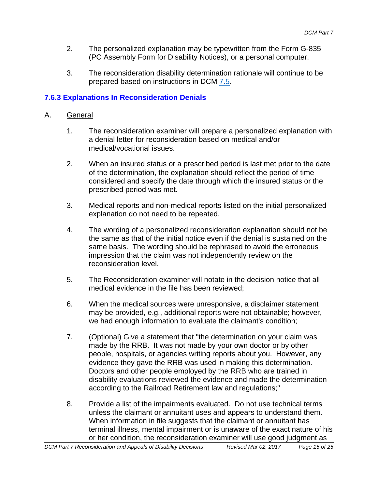- 2. The personalized explanation may be typewritten from the Form G-835 (PC Assembly Form for Disability Notices), or a personal computer.
- 3. The reconsideration disability determination rationale will continue to be prepared based on instructions in DCM 7.5.

# **7.6.3 Explanations In Reconsideration Denials**

- A. General
	- 1. The reconsideration examiner will prepare a personalized explanation with a denial letter for reconsideration based on medical and/or medical/vocational issues.
	- 2. When an insured status or a prescribed period is last met prior to the date of the determination, the explanation should reflect the period of time considered and specify the date through which the insured status or the prescribed period was met.
	- 3. Medical reports and non-medical reports listed on the initial personalized explanation do not need to be repeated.
	- 4. The wording of a personalized reconsideration explanation should not be the same as that of the initial notice even if the denial is sustained on the same basis. The wording should be rephrased to avoid the erroneous impression that the claim was not independently review on the reconsideration level.
	- 5. The Reconsideration examiner will notate in the decision notice that all medical evidence in the file has been reviewed;
	- 6. When the medical sources were unresponsive, a disclaimer statement may be provided, e.g., additional reports were not obtainable; however, we had enough information to evaluate the claimant's condition;
	- 7. (Optional) Give a statement that "the determination on your claim was made by the RRB. It was not made by your own doctor or by other people, hospitals, or agencies writing reports about you. However, any evidence they gave the RRB was used in making this determination. Doctors and other people employed by the RRB who are trained in disability evaluations reviewed the evidence and made the determination according to the Railroad Retirement law and regulations;"
	- 8. Provide a list of the impairments evaluated. Do not use technical terms unless the claimant or annuitant uses and appears to understand them. When information in file suggests that the claimant or annuitant has terminal illness, mental impairment or is unaware of the exact nature of his or her condition, the reconsideration examiner will use good judgment as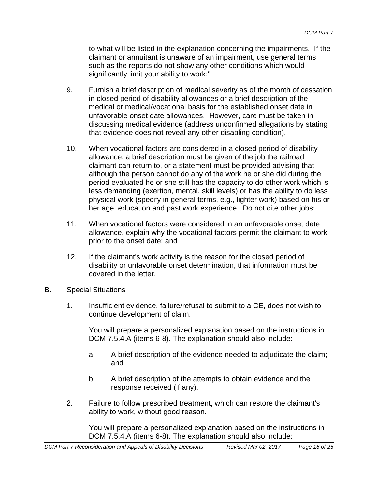to what will be listed in the explanation concerning the impairments. If the claimant or annuitant is unaware of an impairment, use general terms such as the reports do not show any other conditions which would significantly limit your ability to work;"

- 9. Furnish a brief description of medical severity as of the month of cessation in closed period of disability allowances or a brief description of the medical or medical/vocational basis for the established onset date in unfavorable onset date allowances. However, care must be taken in discussing medical evidence (address unconfirmed allegations by stating that evidence does not reveal any other disabling condition).
- 10. When vocational factors are considered in a closed period of disability allowance, a brief description must be given of the job the railroad claimant can return to, or a statement must be provided advising that although the person cannot do any of the work he or she did during the period evaluated he or she still has the capacity to do other work which is less demanding (exertion, mental, skill levels) or has the ability to do less physical work (specify in general terms, e.g., lighter work) based on his or her age, education and past work experience. Do not cite other jobs;
- 11. When vocational factors were considered in an unfavorable onset date allowance, explain why the vocational factors permit the claimant to work prior to the onset date; and
- 12. If the claimant's work activity is the reason for the closed period of disability or unfavorable onset determination, that information must be covered in the letter.

## B. Special Situations

1. Insufficient evidence, failure/refusal to submit to a CE, does not wish to continue development of claim.

You will prepare a personalized explanation based on the instructions in DCM 7.5.4.A (items 6-8). The explanation should also include:

- a. A brief description of the evidence needed to adjudicate the claim; and
- b. A brief description of the attempts to obtain evidence and the response received (if any).
- 2. Failure to follow prescribed treatment, which can restore the claimant's ability to work, without good reason.

You will prepare a personalized explanation based on the instructions in DCM 7.5.4.A (items 6-8). The explanation should also include: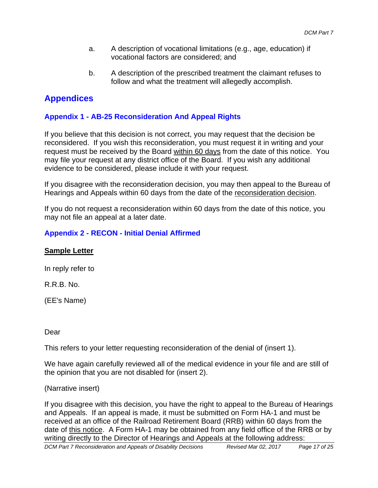- a. A description of vocational limitations (e.g., age, education) if vocational factors are considered; and
- b. A description of the prescribed treatment the claimant refuses to follow and what the treatment will allegedly accomplish.

# **Appendices**

## **Appendix 1 - AB-25 Reconsideration And Appeal Rights**

If you believe that this decision is not correct, you may request that the decision be reconsidered. If you wish this reconsideration, you must request it in writing and your request must be received by the Board within 60 days from the date of this notice. You may file your request at any district office of the Board. If you wish any additional evidence to be considered, please include it with your request.

If you disagree with the reconsideration decision, you may then appeal to the Bureau of Hearings and Appeals within 60 days from the date of the reconsideration decision.

If you do not request a reconsideration within 60 days from the date of this notice, you may not file an appeal at a later date.

## **Appendix 2 - RECON - Initial Denial Affirmed**

## **Sample Letter**

In reply refer to

R.R.B. No.

(EE's Name)

Dear

This refers to your letter requesting reconsideration of the denial of (insert 1).

We have again carefully reviewed all of the medical evidence in your file and are still of the opinion that you are not disabled for (insert 2).

#### (Narrative insert)

If you disagree with this decision, you have the right to appeal to the Bureau of Hearings and Appeals. If an appeal is made, it must be submitted on Form HA-1 and must be received at an office of the Railroad Retirement Board (RRB) within 60 days from the date of this notice. A Form HA-1 may be obtained from any field office of the RRB or by writing directly to the Director of Hearings and Appeals at the following address: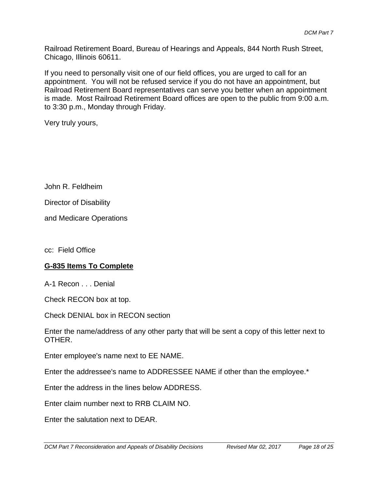Railroad Retirement Board, Bureau of Hearings and Appeals, 844 North Rush Street, Chicago, Illinois 60611.

If you need to personally visit one of our field offices, you are urged to call for an appointment. You will not be refused service if you do not have an appointment, but Railroad Retirement Board representatives can serve you better when an appointment is made. Most Railroad Retirement Board offices are open to the public from 9:00 a.m. to 3:30 p.m., Monday through Friday.

Very truly yours,

John R. Feldheim

Director of Disability

and Medicare Operations

cc: Field Office

#### **G-835 Items To Complete**

A-1 Recon . . . Denial

Check RECON box at top.

Check DENIAL box in RECON section

Enter the name/address of any other party that will be sent a copy of this letter next to OTHER.

Enter employee's name next to EE NAME.

Enter the addressee's name to ADDRESSEE NAME if other than the employee.\*

Enter the address in the lines below ADDRESS.

Enter claim number next to RRB CLAIM NO.

Enter the salutation next to DEAR.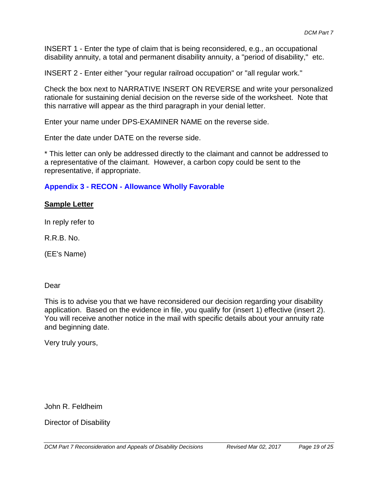INSERT 1 - Enter the type of claim that is being reconsidered, e.g., an occupational disability annuity, a total and permanent disability annuity, a "period of disability," etc.

INSERT 2 - Enter either "your regular railroad occupation" or "all regular work."

Check the box next to NARRATIVE INSERT ON REVERSE and write your personalized rationale for sustaining denial decision on the reverse side of the worksheet. Note that this narrative will appear as the third paragraph in your denial letter.

Enter your name under DPS-EXAMINER NAME on the reverse side.

Enter the date under DATE on the reverse side.

\* This letter can only be addressed directly to the claimant and cannot be addressed to a representative of the claimant. However, a carbon copy could be sent to the representative, if appropriate.

## **Appendix 3 - RECON - Allowance Wholly Favorable**

#### **Sample Letter**

In reply refer to

R.R.B. No.

(EE's Name)

#### Dear

This is to advise you that we have reconsidered our decision regarding your disability application. Based on the evidence in file, you qualify for (insert 1) effective (insert 2). You will receive another notice in the mail with specific details about your annuity rate and beginning date.

Very truly yours,

John R. Feldheim

Director of Disability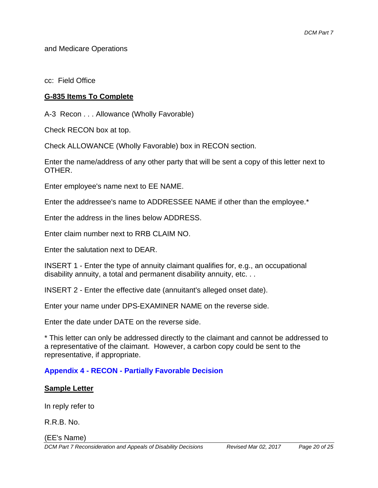and Medicare Operations

cc: Field Office

## **G-835 Items To Complete**

A-3 Recon . . . Allowance (Wholly Favorable)

Check RECON box at top.

Check ALLOWANCE (Wholly Favorable) box in RECON section.

Enter the name/address of any other party that will be sent a copy of this letter next to OTHER.

Enter employee's name next to EE NAME.

Enter the addressee's name to ADDRESSEE NAME if other than the employee.\*

Enter the address in the lines below ADDRESS.

Enter claim number next to RRB CLAIM NO.

Enter the salutation next to DEAR.

INSERT 1 - Enter the type of annuity claimant qualifies for, e.g., an occupational disability annuity, a total and permanent disability annuity, etc. . .

INSERT 2 - Enter the effective date (annuitant's alleged onset date).

Enter your name under DPS-EXAMINER NAME on the reverse side.

Enter the date under DATE on the reverse side.

\* This letter can only be addressed directly to the claimant and cannot be addressed to a representative of the claimant. However, a carbon copy could be sent to the representative, if appropriate.

# **Appendix 4 - RECON - Partially Favorable Decision**

## **Sample Letter**

In reply refer to

R.R.B. No.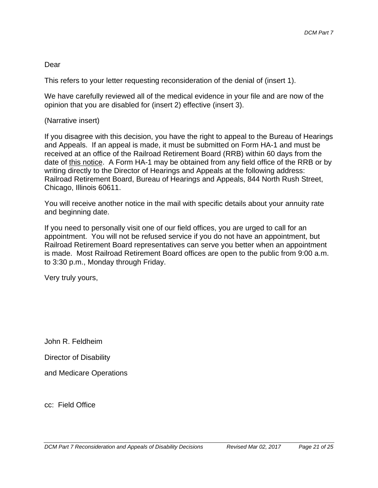### Dear

This refers to your letter requesting reconsideration of the denial of (insert 1).

We have carefully reviewed all of the medical evidence in your file and are now of the opinion that you are disabled for (insert 2) effective (insert 3).

#### (Narrative insert)

If you disagree with this decision, you have the right to appeal to the Bureau of Hearings and Appeals. If an appeal is made, it must be submitted on Form HA-1 and must be received at an office of the Railroad Retirement Board (RRB) within 60 days from the date of this notice. A Form HA-1 may be obtained from any field office of the RRB or by writing directly to the Director of Hearings and Appeals at the following address: Railroad Retirement Board, Bureau of Hearings and Appeals, 844 North Rush Street, Chicago, Illinois 60611.

You will receive another notice in the mail with specific details about your annuity rate and beginning date.

If you need to personally visit one of our field offices, you are urged to call for an appointment. You will not be refused service if you do not have an appointment, but Railroad Retirement Board representatives can serve you better when an appointment is made. Most Railroad Retirement Board offices are open to the public from 9:00 a.m. to 3:30 p.m., Monday through Friday.

Very truly yours,

John R. Feldheim

Director of Disability

and Medicare Operations

cc: Field Office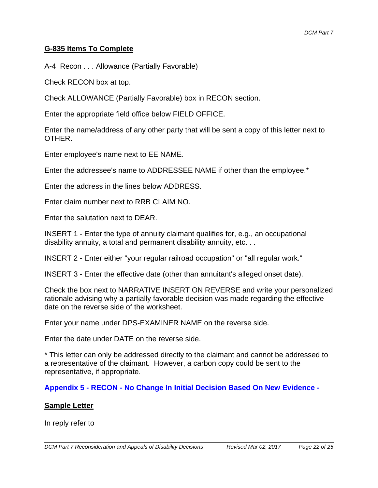### **G-835 Items To Complete**

A-4 Recon . . . Allowance (Partially Favorable)

Check RECON box at top.

Check ALLOWANCE (Partially Favorable) box in RECON section.

Enter the appropriate field office below FIELD OFFICE.

Enter the name/address of any other party that will be sent a copy of this letter next to OTHER.

Enter employee's name next to EE NAME.

Enter the addressee's name to ADDRESSEE NAME if other than the employee.\*

Enter the address in the lines below ADDRESS.

Enter claim number next to RRB CLAIM NO.

Enter the salutation next to DEAR.

INSERT 1 - Enter the type of annuity claimant qualifies for, e.g., an occupational disability annuity, a total and permanent disability annuity, etc. . .

INSERT 2 - Enter either "your regular railroad occupation" or "all regular work."

INSERT 3 - Enter the effective date (other than annuitant's alleged onset date).

Check the box next to NARRATIVE INSERT ON REVERSE and write your personalized rationale advising why a partially favorable decision was made regarding the effective date on the reverse side of the worksheet.

Enter your name under DPS-EXAMINER NAME on the reverse side.

Enter the date under DATE on the reverse side.

\* This letter can only be addressed directly to the claimant and cannot be addressed to a representative of the claimant. However, a carbon copy could be sent to the representative, if appropriate.

**Appendix 5 - RECON - No Change In Initial Decision Based On New Evidence -** 

#### **Sample Letter**

In reply refer to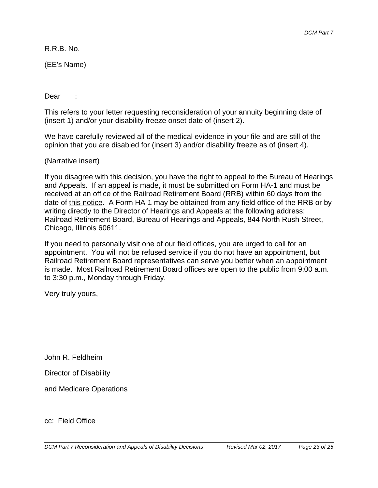R.R.B. No.

(EE's Name)

Dear :

This refers to your letter requesting reconsideration of your annuity beginning date of (insert 1) and/or your disability freeze onset date of (insert 2).

We have carefully reviewed all of the medical evidence in your file and are still of the opinion that you are disabled for (insert 3) and/or disability freeze as of (insert 4).

(Narrative insert)

If you disagree with this decision, you have the right to appeal to the Bureau of Hearings and Appeals. If an appeal is made, it must be submitted on Form HA-1 and must be received at an office of the Railroad Retirement Board (RRB) within 60 days from the date of this notice. A Form HA-1 may be obtained from any field office of the RRB or by writing directly to the Director of Hearings and Appeals at the following address: Railroad Retirement Board, Bureau of Hearings and Appeals, 844 North Rush Street, Chicago, Illinois 60611.

If you need to personally visit one of our field offices, you are urged to call for an appointment. You will not be refused service if you do not have an appointment, but Railroad Retirement Board representatives can serve you better when an appointment is made. Most Railroad Retirement Board offices are open to the public from 9:00 a.m. to 3:30 p.m., Monday through Friday.

Very truly yours,

John R. Feldheim

Director of Disability

and Medicare Operations

cc: Field Office